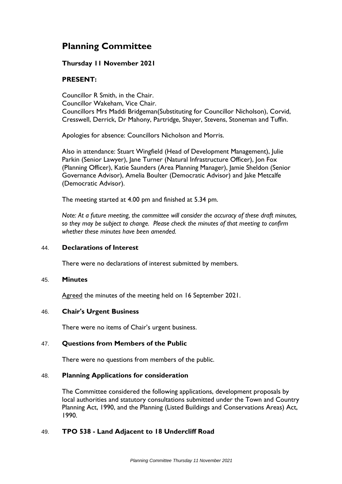# **Planning Committee**

## **Thursday 11 November 2021**

## **PRESENT:**

Councillor R Smith, in the Chair. Councillor Wakeham, Vice Chair. Councillors Mrs Maddi Bridgeman(Substituting for Councillor Nicholson), Corvid, Cresswell, Derrick, Dr Mahony, Partridge, Shayer, Stevens, Stoneman and Tuffin.

Apologies for absence: Councillors Nicholson and Morris.

Also in attendance: Stuart Wingfield (Head of Development Management), Julie Parkin (Senior Lawyer), Jane Turner (Natural Infrastructure Officer), Jon Fox (Planning Officer), Katie Saunders (Area Planning Manager), Jamie Sheldon (Senior Governance Advisor), Amelia Boulter (Democratic Advisor) and Jake Metcalfe (Democratic Advisor).

The meeting started at 4.00 pm and finished at 5.34 pm.

*Note: At a future meeting, the committee will consider the accuracy of these draft minutes, so they may be subject to change. Please check the minutes of that meeting to confirm whether these minutes have been amended.*

## 44. **Declarations of Interest**

There were no declarations of interest submitted by members.

## 45. **Minutes**

Agreed the minutes of the meeting held on 16 September 2021.

## 46. **Chair's Urgent Business**

There were no items of Chair's urgent business.

## 47. **Questions from Members of the Public**

There were no questions from members of the public.

## 48. **Planning Applications for consideration**

The Committee considered the following applications, development proposals by local authorities and statutory consultations submitted under the Town and Country Planning Act, 1990, and the Planning (Listed Buildings and Conservations Areas) Act, 1990.

## 49. **TPO 538 - Land Adjacent to 18 Undercliff Road**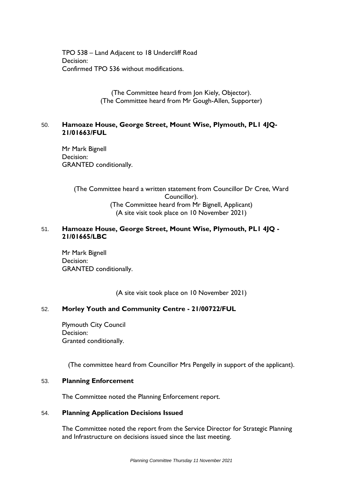TPO 538 – Land Adjacent to 18 Undercliff Road Decision: Confirmed TPO 536 without modifications.

> (The Committee heard from Jon Kiely, Objector). (The Committee heard from Mr Gough-Allen, Supporter)

## 50. **Hamoaze House, George Street, Mount Wise, Plymouth, PL1 4JQ-21/01663/FUL**

Mr Mark Bignell Decision: GRANTED conditionally.

> (The Committee heard a written statement from Councillor Dr Cree, Ward Councillor). (The Committee heard from Mr Bignell, Applicant) (A site visit took place on 10 November 2021)

## 51. **Hamoaze House, George Street, Mount Wise, Plymouth, PL1 4JQ - 21/01665/LBC**

Mr Mark Bignell Decision: GRANTED conditionally.

(A site visit took place on 10 November 2021)

## 52. **Morley Youth and Community Centre - 21/00722/FUL**

Plymouth City Council Decision: Granted conditionally.

(The committee heard from Councillor Mrs Pengelly in support of the applicant).

## 53. **Planning Enforcement**

The Committee noted the Planning Enforcement report.

## 54. **Planning Application Decisions Issued**

The Committee noted the report from the Service Director for Strategic Planning and Infrastructure on decisions issued since the last meeting.